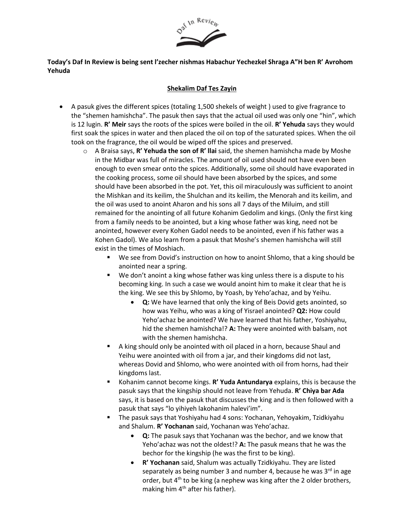

## **Today's Daf In Review is being sent l'zecher nishmas Habachur Yechezkel Shraga A"H ben R' Avrohom Yehuda**

## **Shekalim Daf Tes Zayin**

- A pasuk gives the different spices (totaling 1,500 shekels of weight ) used to give fragrance to the "shemen hamishcha". The pasuk then says that the actual oil used was only one "hin", which is 12 lugin. **R' Meir** says the roots of the spices were boiled in the oil. **R' Yehuda** says they would first soak the spices in water and then placed the oil on top of the saturated spices. When the oil took on the fragrance, the oil would be wiped off the spices and preserved.
	- o A Braisa says, **R' Yehuda the son of R' llai** said, the shemen hamishcha made by Moshe in the Midbar was full of miracles. The amount of oil used should not have even been enough to even smear onto the spices. Additionally, some oil should have evaporated in the cooking process, some oil should have been absorbed by the spices, and some should have been absorbed in the pot. Yet, this oil miraculously was sufficient to anoint the Mishkan and its keilim, the Shulchan and its keilim, the Menorah and its keilim, and the oil was used to anoint Aharon and his sons all 7 days of the Miluim, and still remained for the anointing of all future Kohanim Gedolim and kings. (Only the first king from a family needs to be anointed, but a king whose father was king, need not be anointed, however every Kohen Gadol needs to be anointed, even if his father was a Kohen Gadol). We also learn from a pasuk that Moshe's shemen hamishcha will still exist in the times of Moshiach.
		- We see from Dovid's instruction on how to anoint Shlomo, that a king should be anointed near a spring.
		- We don't anoint a king whose father was king unless there is a dispute to his becoming king. In such a case we would anoint him to make it clear that he is the king. We see this by Shlomo, by Yoash, by Yeho'achaz, and by Yeihu.
			- **Q:** We have learned that only the king of Beis Dovid gets anointed, so how was Yeihu, who was a king of Yisrael anointed? **Q2:** How could Yeho'achaz be anointed? We have learned that his father, Yoshiyahu, hid the shemen hamishcha!? **A:** They were anointed with balsam, not with the shemen hamishcha.
		- A king should only be anointed with oil placed in a horn, because Shaul and Yeihu were anointed with oil from a jar, and their kingdoms did not last, whereas Dovid and Shlomo, who were anointed with oil from horns, had their kingdoms last.
		- Kohanim cannot become kings. **R' Yuda Antundarya** explains, this is because the pasuk says that the kingship should not leave from Yehuda. **R' Chiya bar Ada** says, it is based on the pasuk that discusses the king and is then followed with a pasuk that says "lo yihiyeh lakohanim halevi'im".
		- The pasuk says that Yoshiyahu had 4 sons: Yochanan, Yehoyakim, Tzidkiyahu and Shalum. **R' Yochanan** said, Yochanan was Yeho'achaz.
			- **Q:** The pasuk says that Yochanan was the bechor, and we know that Yeho'achaz was not the oldest!? **A:** The pasuk means that he was the bechor for the kingship (he was the first to be king).
			- **R' Yochanan** said, Shalum was actually Tzidkiyahu. They are listed separately as being number 3 and number 4, because he was  $3<sup>rd</sup>$  in age order, but  $4<sup>th</sup>$  to be king (a nephew was king after the 2 older brothers, making him  $4<sup>th</sup>$  after his father).